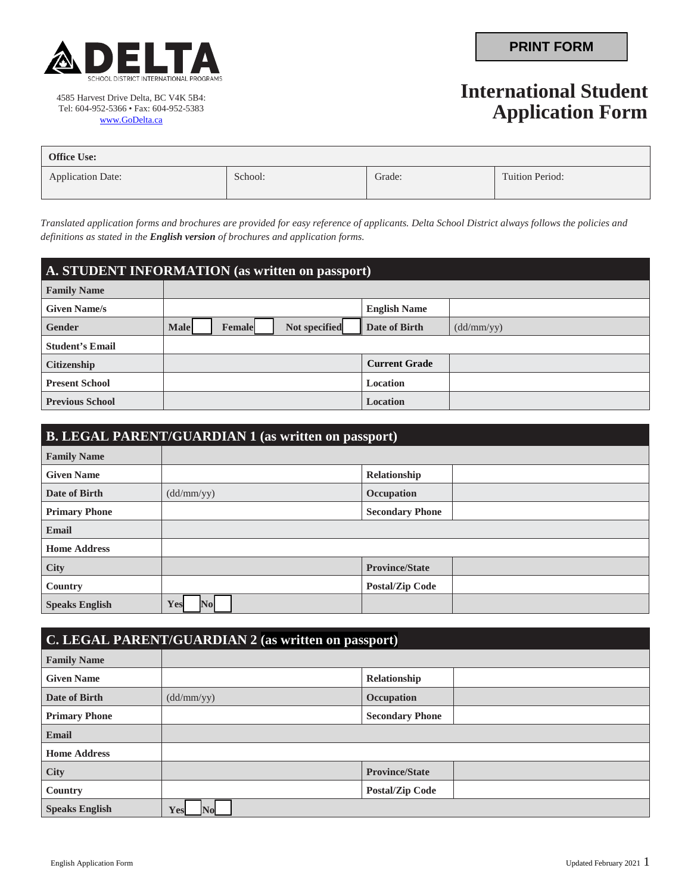

4585 Harvest Drive Delta, BC V4K 5B4: Tel: 604-952-5366 • Fax: 604-952-5383 [www.GoDelta.ca](http://www.godelta.ca/)

## **International Student Application Form**

| <b>Office Use:</b>       |         |        |                 |
|--------------------------|---------|--------|-----------------|
| <b>Application Date:</b> | School: | Grade: | Tuition Period: |

*Translated application forms and brochures are provided for easy reference of applicants. Delta School District always follows the policies and definitions as stated in the English version of brochures and application forms.*

| A. STUDENT INFORMATION (as written on passport) |                                               |                      |            |
|-------------------------------------------------|-----------------------------------------------|----------------------|------------|
| <b>Family Name</b>                              |                                               |                      |            |
| <b>Given Name/s</b>                             |                                               | <b>English Name</b>  |            |
| <b>Gender</b>                                   | Not specified<br><b>Male</b><br><b>Female</b> | Date of Birth        | (dd/mm/yy) |
| <b>Student's Email</b>                          |                                               |                      |            |
| <b>Citizenship</b>                              |                                               | <b>Current Grade</b> |            |
| <b>Present School</b>                           |                                               | Location             |            |
| <b>Previous School</b>                          |                                               | Location             |            |

| <b>B. LEGAL PARENT/GUARDIAN 1 (as written on passport)</b> |                 |                        |
|------------------------------------------------------------|-----------------|------------------------|
| <b>Family Name</b>                                         |                 |                        |
| <b>Given Name</b>                                          |                 | Relationship           |
| Date of Birth                                              | (dd/mm/yy)      | Occupation             |
| <b>Primary Phone</b>                                       |                 | <b>Secondary Phone</b> |
| <b>Email</b>                                               |                 |                        |
| <b>Home Address</b>                                        |                 |                        |
| <b>City</b>                                                |                 | <b>Province/State</b>  |
| Country                                                    |                 | <b>Postal/Zip Code</b> |
| <b>Speaks English</b>                                      | Yes<br>$\bf No$ |                        |

| <b>C. LEGAL PARENT/GUARDIAN 2 (as written on passport)</b> |            |                        |  |
|------------------------------------------------------------|------------|------------------------|--|
| <b>Family Name</b>                                         |            |                        |  |
| <b>Given Name</b>                                          |            | Relationship           |  |
| Date of Birth                                              | (dd/mm/yy) | Occupation             |  |
| <b>Primary Phone</b>                                       |            | <b>Secondary Phone</b> |  |
| <b>Email</b>                                               |            |                        |  |
| <b>Home Address</b>                                        |            |                        |  |
| <b>City</b>                                                |            | <b>Province/State</b>  |  |
| Country                                                    |            | <b>Postal/Zip Code</b> |  |
| <b>Speaks English</b>                                      | Yes        |                        |  |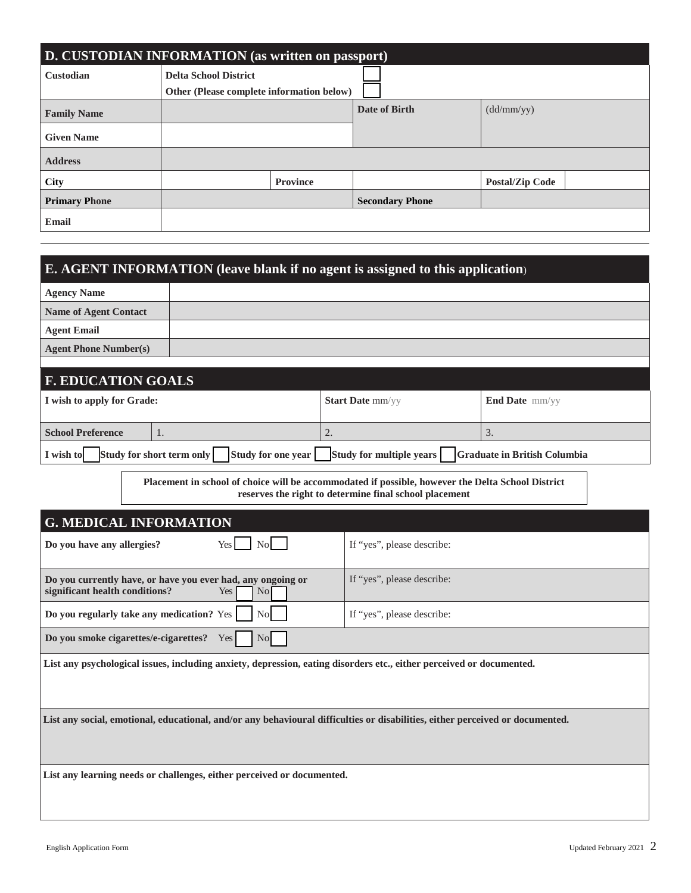| <b>D. CUSTODIAN INFORMATION</b> (as written on passport) |                                                                           |                 |                        |                        |
|----------------------------------------------------------|---------------------------------------------------------------------------|-----------------|------------------------|------------------------|
| <b>Custodian</b>                                         | <b>Delta School District</b><br>Other (Please complete information below) |                 |                        |                        |
| <b>Family Name</b>                                       |                                                                           |                 | Date of Birth          | (dd/mm/yy)             |
| <b>Given Name</b>                                        |                                                                           |                 |                        |                        |
| <b>Address</b>                                           |                                                                           |                 |                        |                        |
| City                                                     |                                                                           | <b>Province</b> |                        | <b>Postal/Zip Code</b> |
| <b>Primary Phone</b>                                     |                                                                           |                 | <b>Secondary Phone</b> |                        |
| <b>Email</b>                                             |                                                                           |                 |                        |                        |

| E. AGENT INFORMATION (leave blank if no agent is assigned to this application)                                                |                                                        |                                     |  |
|-------------------------------------------------------------------------------------------------------------------------------|--------------------------------------------------------|-------------------------------------|--|
| <b>Agency Name</b>                                                                                                            |                                                        |                                     |  |
| <b>Name of Agent Contact</b>                                                                                                  |                                                        |                                     |  |
| <b>Agent Email</b>                                                                                                            |                                                        |                                     |  |
| <b>Agent Phone Number(s)</b>                                                                                                  |                                                        |                                     |  |
| <b>F. EDUCATION GOALS</b>                                                                                                     |                                                        |                                     |  |
| I wish to apply for Grade:                                                                                                    | Start Date mm/yy                                       | End Date mm/yy                      |  |
| <b>School Preference</b><br>1.                                                                                                | 2.                                                     | 3.                                  |  |
| Study for short term only<br>Study for one year<br>I wish to                                                                  | Study for multiple years                               | <b>Graduate in British Columbia</b> |  |
| Placement in school of choice will be accommodated if possible, however the Delta School District                             | reserves the right to determine final school placement |                                     |  |
| <b>G. MEDICAL INFORMATION</b>                                                                                                 |                                                        |                                     |  |
| No<br>Do you have any allergies?<br>Yes                                                                                       | If "yes", please describe:                             |                                     |  |
| Do you currently have, or have you ever had, any ongoing or<br>significant health conditions?<br>Yes<br>N <sub>0</sub>        | If "yes", please describe:                             |                                     |  |
| Do you regularly take any medication? Yes<br>N <sub>o</sub><br>If "yes", please describe:                                     |                                                        |                                     |  |
| Do you smoke cigarettes/e-cigarettes?<br>$\rm No$<br>Yes                                                                      |                                                        |                                     |  |
| List any psychological issues, including anxiety, depression, eating disorders etc., either perceived or documented.          |                                                        |                                     |  |
| List any social, emotional, educational, and/or any behavioural difficulties or disabilities, either perceived or documented. |                                                        |                                     |  |

**List any learning needs or challenges, either perceived or documented.**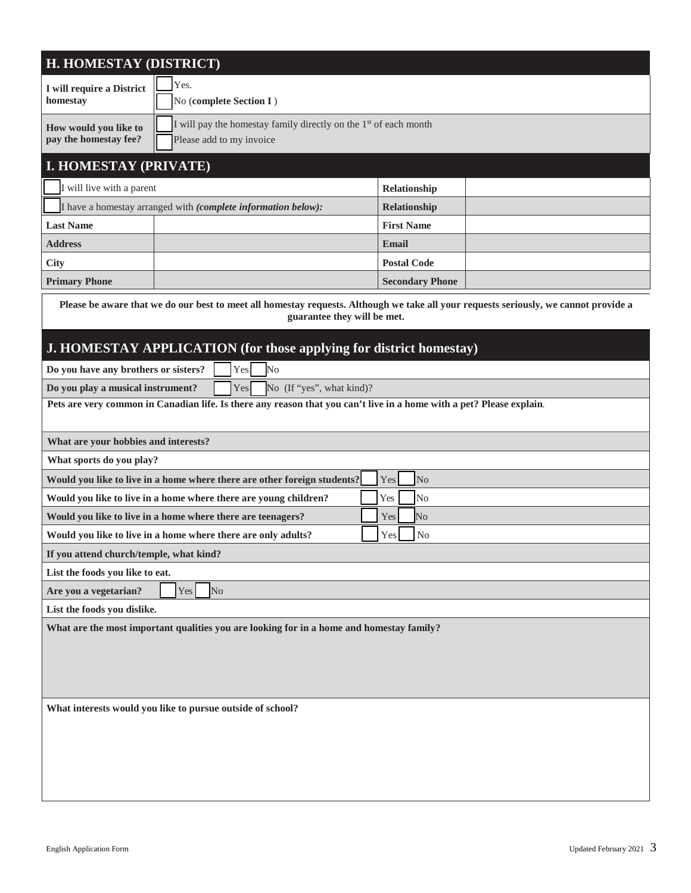| H. HOMESTAY (DISTRICT)                                                                                                                                              |                        |  |  |
|---------------------------------------------------------------------------------------------------------------------------------------------------------------------|------------------------|--|--|
| Yes.<br>I will require a District<br>homestav<br>No (complete Section I)                                                                                            |                        |  |  |
| I will pay the homestay family directly on the 1 <sup>st</sup> of each month<br>How would you like to<br>pay the homestay fee?<br>Please add to my invoice          |                        |  |  |
| <b>I. HOMESTAY (PRIVATE)</b>                                                                                                                                        |                        |  |  |
| I will live with a parent                                                                                                                                           | Relationship           |  |  |
| I have a homestay arranged with (complete information below):                                                                                                       | Relationship           |  |  |
| <b>Last Name</b>                                                                                                                                                    | <b>First Name</b>      |  |  |
| <b>Address</b>                                                                                                                                                      | Email                  |  |  |
| <b>City</b>                                                                                                                                                         | <b>Postal Code</b>     |  |  |
| <b>Primary Phone</b>                                                                                                                                                | <b>Secondary Phone</b> |  |  |
| Please be aware that we do our best to meet all homestay requests. Although we take all your requests seriously, we cannot provide a<br>guarantee they will be met. |                        |  |  |
| J. HOMESTAY APPLICATION (for those applying for district homestay)                                                                                                  |                        |  |  |
| No<br>Do you have any brothers or sisters?<br>Yes                                                                                                                   |                        |  |  |
| Do you play a musical instrument?<br>Yes<br>No (If "yes", what kind)?                                                                                               |                        |  |  |
| Pets are very common in Canadian life. Is there any reason that you can't live in a home with a pet? Please explain.                                                |                        |  |  |
| What are your hobbies and interests?                                                                                                                                |                        |  |  |
| What sports do you play?                                                                                                                                            |                        |  |  |
| Would you like to live in a home where there are other foreign students?<br>N <sub>o</sub><br>Yes                                                                   |                        |  |  |
| Would you like to live in a home where there are young children?<br>Yes<br>N <sub>o</sub>                                                                           |                        |  |  |
| Would you like to live in a home where there are teenagers?<br>No<br>Yes                                                                                            |                        |  |  |
| Would you like to live in a home where there are only adults?                                                                                                       | Yes<br>No              |  |  |
| If you attend church/temple, what kind?                                                                                                                             |                        |  |  |
| List the foods you like to eat.                                                                                                                                     |                        |  |  |
| N <sub>o</sub><br>Are you a vegetarian?<br>Yes                                                                                                                      |                        |  |  |
| List the foods you dislike.                                                                                                                                         |                        |  |  |
| What are the most important qualities you are looking for in a home and homestay family?                                                                            |                        |  |  |
| What interests would you like to pursue outside of school?                                                                                                          |                        |  |  |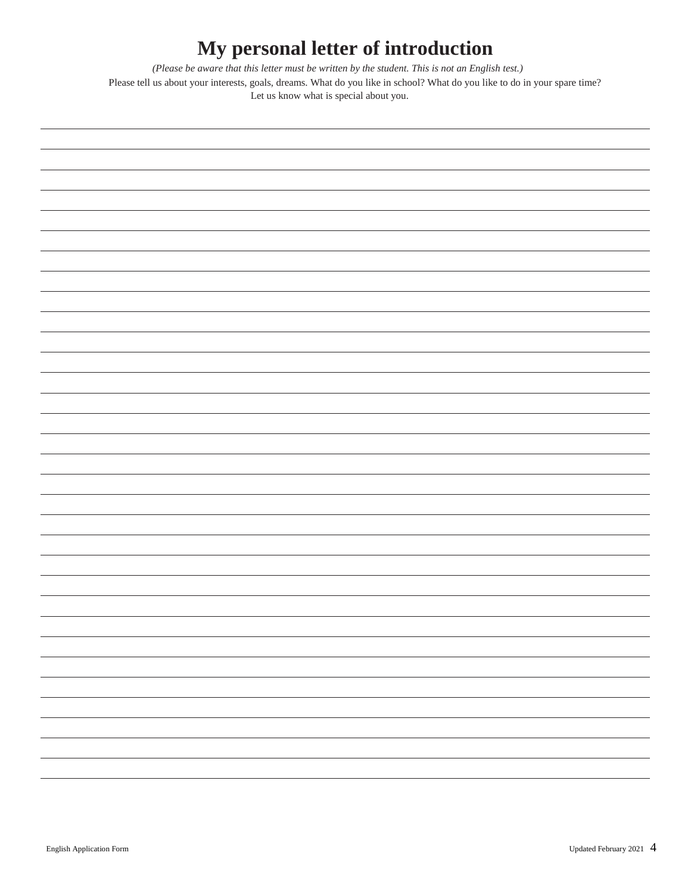# **My personal letter of introduction**

*(Please be aware that this letter must be written by the student. This is not an English test.)* 

Please tell us about your interests, goals, dreams. What do you like in school? What do you like to do in your spare time? Let us know what is special about you.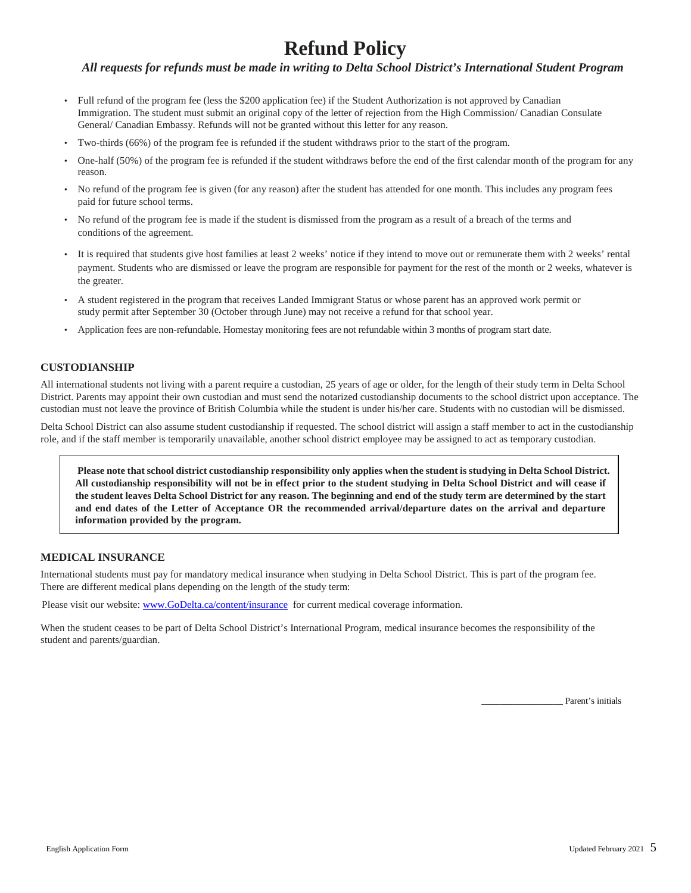## **Refund Policy**

#### *All requests for refunds must be made in writing to Delta School District's International Student Program*

- Full refund of the program fee (less the \$200 application fee) if the Student Authorization is not approved by Canadian Immigration. The student must submit an original copy of the letter of rejection from the High Commission/ Canadian Consulate General/ Canadian Embassy. Refunds will not be granted without this letter for any reason.
- Two-thirds (66%) of the program fee is refunded if the student withdraws prior to the start of the program.
- One-half (50%) of the program fee is refunded if the student withdraws before the end of the first calendar month of the program for any reason.
- No refund of the program fee is given (for any reason) after the student has attended for one month. This includes any program fees paid for future school terms.
- No refund of the program fee is made if the student is dismissed from the program as a result of a breach of the terms and conditions of the agreement.
- It is required that students give host families at least 2 weeks' notice if they intend to move out or remunerate them with 2 weeks' rental payment. Students who are dismissed or leave the program are responsible for payment for the rest of the month or 2 weeks, whatever is the greater.
- A student registered in the program that receives Landed Immigrant Status or whose parent has an approved work permit or study permit after September 30 (October through June) may not receive a refund for that school year.
- Application fees are non-refundable. Homestay monitoring fees are not refundable within 3 months of program start date.

#### **CUSTODIANSHIP**

All international students not living with a parent require a custodian, 25 years of age or older, for the length of their study term in Delta School District. Parents may appoint their own custodian and must send the notarized custodianship documents to the school district upon acceptance. The custodian must not leave the province of British Columbia while the student is under his/her care. Students with no custodian will be dismissed.

Delta School District can also assume student custodianship if requested. The school district will assign a staff member to act in the custodianship role, and if the staff member is temporarily unavailable, another school district employee may be assigned to act as temporary custodian.

**Please note that school district custodianship responsibility only applies when the student is studying in Delta School District. All custodianship responsibility will not be in effect prior to the student studying in Delta School District and will cease if the student leaves Delta School District for any reason. The beginning and end of the study term are determined by the start and end dates of the Letter of Acceptance OR the recommended arrival/departure dates on the arrival and departure information provided by the program.**

#### **MEDICAL INSURANCE**

International students must pay for mandatory medical insurance when studying in Delta School District. This is part of the program fee. There are different medical plans depending on the length of the study term:

Please visit our website[: www.GoDelta.ca/content/insurance](http://www.godelta.ca/content/insurance) for current medical coverage information.

When the student ceases to be part of Delta School District's International Program, medical insurance becomes the responsibility of the student and parents/guardian.

Parent's initials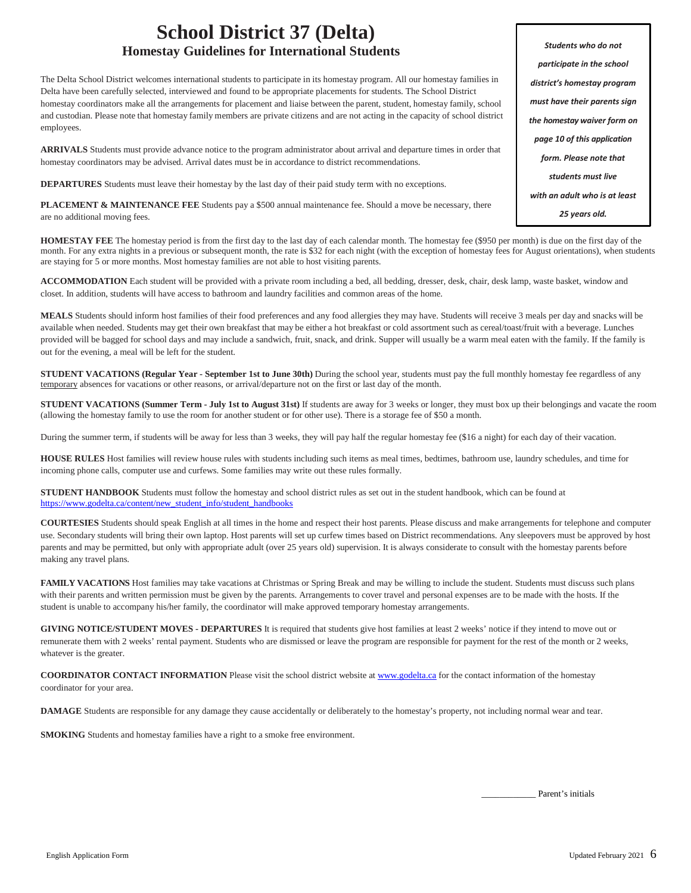### **School District 37 (Delta) Homestay Guidelines for International Students**

The Delta School District welcomes international students to participate in its homestay program. All our homestay families in Delta have been carefully selected, interviewed and found to be appropriate placements for students. The School District homestay coordinators make all the arrangements for placement and liaise between the parent, student, homestay family, school and custodian. Please note that homestay family members are private citizens and are not acting in the capacity of school district employees.

**ARRIVALS** Students must provide advance notice to the program administrator about arrival and departure times in order that homestay coordinators may be advised. Arrival dates must be in accordance to district recommendations.

**DEPARTURES** Students must leave their homestay by the last day of their paid study term with no exceptions.

**PLACEMENT & MAINTENANCE FEE** Students pay a \$500 annual maintenance fee. Should a move be necessary, there are no additional moving fees.

**HOMESTAY FEE** The homestay period is from the first day to the last day of each calendar month. The homestay fee (\$950 per month) is due on the first day of the month. For any extra nights in a previous or subsequent month, the rate is \$32 for each night (with the exception of homestay fees for August orientations), when students are staying for 5 or more months. Most homestay families are not able to host visiting parents.

**ACCOMMODATION** Each student will be provided with a private room including a bed, all bedding, dresser, desk, chair, desk lamp, waste basket, window and closet. In addition, students will have access to bathroom and laundry facilities and common areas of the home.

**MEALS** Students should inform host families of their food preferences and any food allergies they may have. Students will receive 3 meals per day and snacks will be available when needed. Students may get their own breakfast that may be either a hot breakfast or cold assortment such as cereal/toast/fruit with a beverage. Lunches provided will be bagged for school days and may include a sandwich, fruit, snack, and drink. Supper will usually be a warm meal eaten with the family. If the family is out for the evening, a meal will be left for the student.

**STUDENT VACATIONS (Regular Year - September 1st to June 30th)** During the school year, students must pay the full monthly homestay fee regardless of any temporary absences for vacations or other reasons, or arrival/departure not on the first or last day of the month.

**STUDENT VACATIONS (Summer Term - July 1st to August 31st)** If students are away for 3 weeks or longer, they must box up their belongings and vacate the room (allowing the homestay family to use the room for another student or for other use). There is a storage fee of \$50 a month.

During the summer term, if students will be away for less than 3 weeks, they will pay half the regular homestay fee (\$16 a night) for each day of their vacation.

**HOUSE RULES** Host families will review house rules with students including such items as meal times, bedtimes, bathroom use, laundry schedules, and time for incoming phone calls, computer use and curfews. Some families may write out these rules formally.

**STUDENT HANDBOOK** Students must follow the homestay and school district rules as set out in the student handbook, which can be found at [https://www.godelta.ca/content/new\\_student\\_info/student\\_handbooks](https://www.godelta.ca/content/new_student_info/student_handbooks)

**COURTESIES** Students should speak English at all times in the home and respect their host parents. Please discuss and make arrangements for telephone and computer use. Secondary students will bring their own laptop. Host parents will set up curfew times based on District recommendations. Any sleepovers must be approved by host parents and may be permitted, but only with appropriate adult (over 25 years old) supervision. It is always considerate to consult with the homestay parents before making any travel plans.

FAMILY VACATIONS Host families may take vacations at Christmas or Spring Break and may be willing to include the student. Students must discuss such plans with their parents and written permission must be given by the parents. Arrangements to cover travel and personal expenses are to be made with the hosts. If the student is unable to accompany his/her family, the coordinator will make approved temporary homestay arrangements.

**GIVING NOTICE/STUDENT MOVES - DEPARTURES** It is required that students give host families at least 2 weeks' notice if they intend to move out or remunerate them with 2 weeks' rental payment. Students who are dismissed or leave the program are responsible for payment for the rest of the month or 2 weeks, whatever is the greater.

**COORDINATOR CONTACT INFORMATION** Please visit the school district website a[t www.godelta.ca](http://www.godelta.ca/) for the contact information of the homestay coordinator for your area.

**DAMAGE** Students are responsible for any damage they cause accidentally or deliberately to the homestay's property, not including normal wear and tear.

**SMOKING** Students and homestay families have a right to a smoke free environment.

Parent's initials

*Students who do not participate in the school district's homestay program must have their parents sign the homestay waiver form on page 10 of this application form. Please note that students must live with an adult who is at least 25 years old.*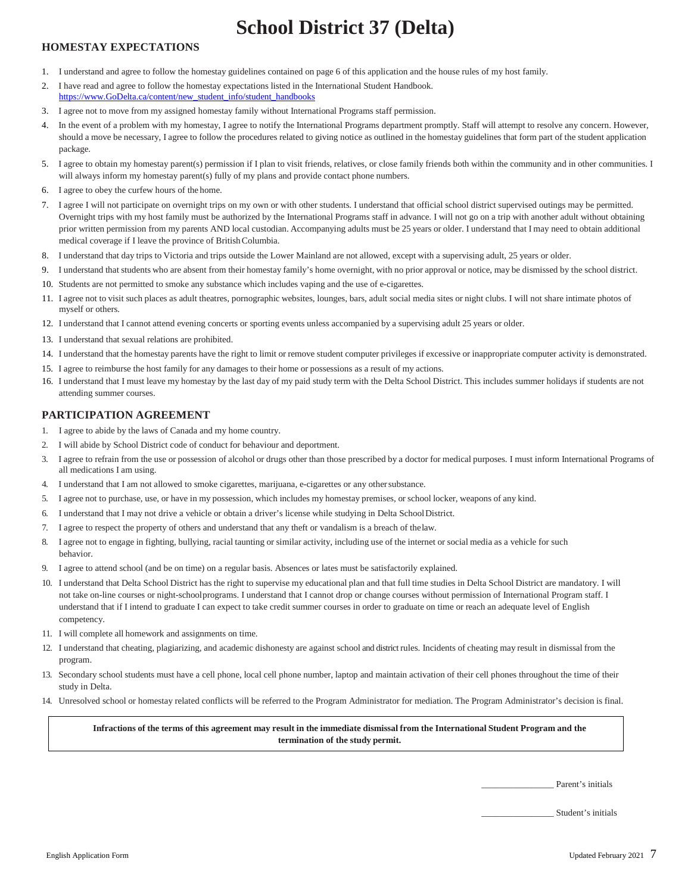## **School District 37 (Delta)**

#### **HOMESTAY EXPECTATIONS**

- 1. I understand and agree to follow the homestay guidelines contained on page 6 of this application and the house rules of my host family.
- 2. I have read and agree to follow the homestay expectations listed in the International Student Handbook. [https://www.GoDelta.ca/content/new\\_student\\_info/student\\_handbooks](https://www.godelta.ca/content/new_student_info/student_handbooks)
- 3. I agree not to move from my assigned homestay family without International Programs staff permission.
- 4. In the event of a problem with my homestay, I agree to notify the International Programs department promptly. Staff will attempt to resolve any concern. However, should a move be necessary, I agree to follow the procedures related to giving notice as outlined in the homestay guidelines that form part of the student application package.
- 5. I agree to obtain my homestay parent(s) permission if I plan to visit friends, relatives, or close family friends both within the community and in other communities. I will always inform my homestay parent(s) fully of my plans and provide contact phone numbers.
- 6. I agree to obey the curfew hours of the home.
- 7. I agree I will not participate on overnight trips on my own or with other students. I understand that official school district supervised outings may be permitted. Overnight trips with my host family must be authorized by the International Programs staff in advance. I will not go on a trip with another adult without obtaining prior written permission from my parents AND local custodian. Accompanying adults must be 25 years or older. I understand that I may need to obtain additional medical coverage if I leave the province of BritishColumbia.
- 8. I understand that day trips to Victoria and trips outside the Lower Mainland are not allowed, except with a supervising adult, 25 years or older.
- 9. I understand that students who are absent from their homestay family's home overnight, with no prior approval or notice, may be dismissed by the school district.
- 10. Students are not permitted to smoke any substance which includes vaping and the use of e-cigarettes.
- 11. I agree not to visit such places as adult theatres, pornographic websites, lounges, bars, adult social media sites or night clubs. I will not share intimate photos of myself or others.
- 12. I understand that I cannot attend evening concerts or sporting events unless accompanied by a supervising adult 25 years or older.
- 13. I understand that sexual relations are prohibited.
- 14. I understand that the homestay parents have the right to limit or remove student computer privileges if excessive or inappropriate computer activity is demonstrated.
- 15. I agree to reimburse the host family for any damages to their home or possessions as a result of my actions.
- 16. I understand that I must leave my homestay by the last day of my paid study term with the Delta School District. This includes summer holidays if students are not attending summer courses.

#### **PARTICIPATION AGREEMENT**

- 1. I agree to abide by the laws of Canada and my home country.
- 2. I will abide by School District code of conduct for behaviour and deportment.
- 3. I agree to refrain from the use or possession of alcohol or drugs other than those prescribed by a doctor for medical purposes. I must inform International Programs of all medications I am using.
- 4. I understand that I am not allowed to smoke cigarettes, marijuana, e-cigarettes or any othersubstance.
- 5. I agree not to purchase, use, or have in my possession, which includes my homestay premises, or school locker, weapons of any kind.
- 6. I understand that I may not drive a vehicle or obtain a driver's license while studying in Delta School District.
- 7. I agree to respect the property of others and understand that any theft or vandalism is a breach of thelaw.
- 8. I agree not to engage in fighting, bullying, racial taunting or similar activity, including use of the internet or social media as a vehicle for such behavior.
- 9. I agree to attend school (and be on time) on a regular basis. Absences or lates must be satisfactorily explained.
- 10. I understand that Delta School District has the right to supervise my educational plan and that full time studies in Delta School District are mandatory. I will not take on-line courses or night-schoolprograms. I understand that I cannot drop or change courses without permission of International Program staff. I understand that if I intend to graduate I can expect to take credit summer courses in order to graduate on time or reach an adequate level of English competency.
- 11. I will complete all homework and assignments on time.
- 12. I understand that cheating, plagiarizing, and academic dishonesty are against school and district rules. Incidents of cheating may result in dismissal from the program.
- 13. Secondary school students must have a cell phone, local cell phone number, laptop and maintain activation of their cell phones throughout the time of their study in Delta.
- 14. Unresolved school or homestay related conflicts will be referred to the Program Administrator for mediation. The Program Administrator's decision is final.

Infractions of the terms of this agreement may result in the immediate dismissal from the International Student Program and the **termination of the study permit.**

Parent's initials

\_\_\_\_\_\_\_\_\_\_\_\_\_\_\_\_ Student's initials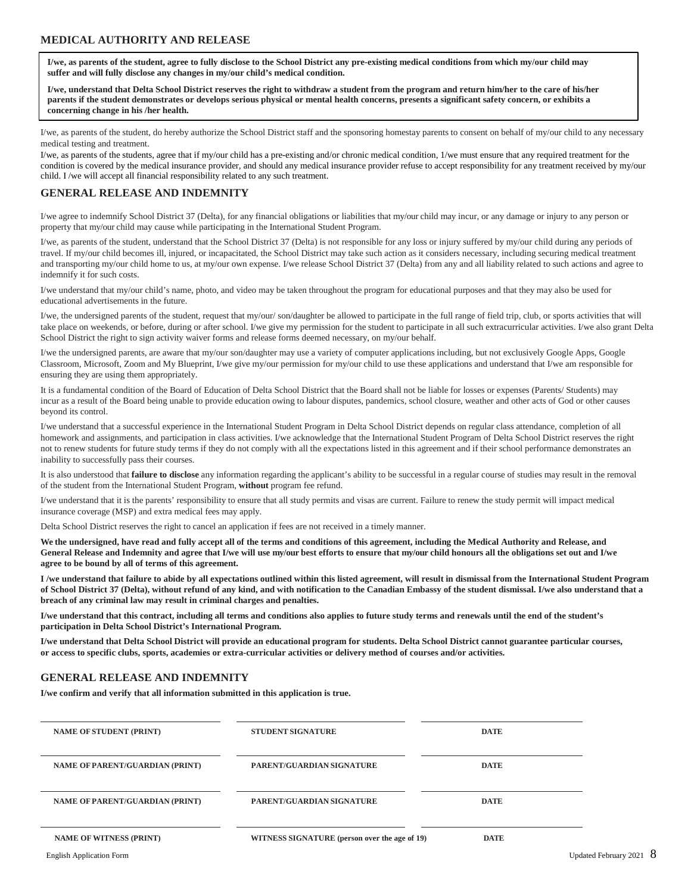#### **MEDICAL AUTHORITY AND RELEASE**

**I/we, as parents of the student, agree to fully disclose to the School District any pre-existing medical conditions from which my/our child may suffer and will fully disclose any changes in my/our child's medical condition.**

**I/we, understand that Delta School District reserves the right to withdraw a student from the program and return him/her to the care of his/her parents if the student demonstrates or develops serious physical or mental health concerns, presents a significant safety concern, or exhibits a concerning change in his /her health.**

I/we, as parents of the student, do hereby authorize the School District staff and the sponsoring homestay parents to consent on behalf of my/our child to any necessary medical testing and treatment.

I/we, as parents of the students, agree that if my/our child has a pre-existing and/or chronic medical condition, 1/we must ensure that any required treatment for the condition is covered by the medical insurance provider, and should any medical insurance provider refuse to accept responsibility for any treatment received by my/our child. I /we will accept all financial responsibility related to any such treatment.

#### **GENERAL RELEASE AND INDEMNITY**

I/we agree to indemnify School District 37 (Delta), for any financial obligations or liabilities that my/our child may incur, or any damage or injury to any person or property that my/our child may cause while participating in the International Student Program.

I/we, as parents of the student, understand that the School District 37 (Delta) is not responsible for any loss or injury suffered by my/our child during any periods of travel. If my/our child becomes ill, injured, or incapacitated, the School District may take such action as it considers necessary, including securing medical treatment and transporting my/our child home to us, at my/our own expense. I/we release School District 37 (Delta) from any and all liability related to such actions and agree to indemnify it for such costs.

I/we understand that my/our child's name, photo, and video may be taken throughout the program for educational purposes and that they may also be used for educational advertisements in the future.

I/we, the undersigned parents of the student, request that my/our/ son/daughter be allowed to participate in the full range of field trip, club, or sports activities that will take place on weekends, or before, during or after school. I/we give my permission for the student to participate in all such extracurricular activities. I/we also grant Delta School District the right to sign activity waiver forms and release forms deemed necessary, on my/our behalf.

I/we the undersigned parents, are aware that my/our son/daughter may use a variety of computer applications including, but not exclusively Google Apps, Google Classroom, Microsoft, Zoom and My Blueprint, I/we give my/our permission for my/our child to use these applications and understand that I/we am responsible for ensuring they are using them appropriately.

It is a fundamental condition of the Board of Education of Delta School District that the Board shall not be liable for losses or expenses (Parents/ Students) may incur as a result of the Board being unable to provide education owing to labour disputes, pandemics, school closure, weather and other acts of God or other causes beyond its control.

I/we understand that a successful experience in the International Student Program in Delta School District depends on regular class attendance, completion of all homework and assignments, and participation in class activities. I/we acknowledge that the International Student Program of Delta School District reserves the right not to renew students for future study terms if they do not comply with all the expectations listed in this agreement and if their school performance demonstrates an inability to successfully pass their courses.

It is also understood that **failure to disclose** any information regarding the applicant's ability to be successful in a regular course of studies may result in the removal of the student from the International Student Program, **without** program fee refund.

I/we understand that it is the parents' responsibility to ensure that all study permits and visas are current. Failure to renew the study permit will impact medical insurance coverage (MSP) and extra medical fees may apply.

Delta School District reserves the right to cancel an application if fees are not received in a timely manner.

**We the undersigned, have read and fully accept all of the terms and conditions of this agreement, including the Medical Authority and Release, and General Release and Indemnity and agree that I/we will use my/our best efforts to ensure that my/our child honours all the obligations set out and I/we agree to be bound by all of terms of this agreement.**

**I /we understand that failure to abide by all expectations outlined within this listed agreement, will result in dismissal from the International Student Program of School District 37 (Delta), without refund of any kind, and with notification to the Canadian Embassy of the student dismissal. I/we also understand that a breach of any criminal law may result in criminal charges and penalties.**

**I/we understand that this contract, including all terms and conditions also applies to future study terms and renewals until the end of the student's participation in Delta School District's International Program.**

**I/we understand that Delta School District will provide an educational program for students. Delta School District cannot guarantee particular courses, or access to specific clubs, sports, academies or extra-curricular activities or delivery method of courses and/or activities.**

#### **GENERAL RELEASE AND INDEMNITY**

**I/we confirm and verify that all information submitted in this application is true.**

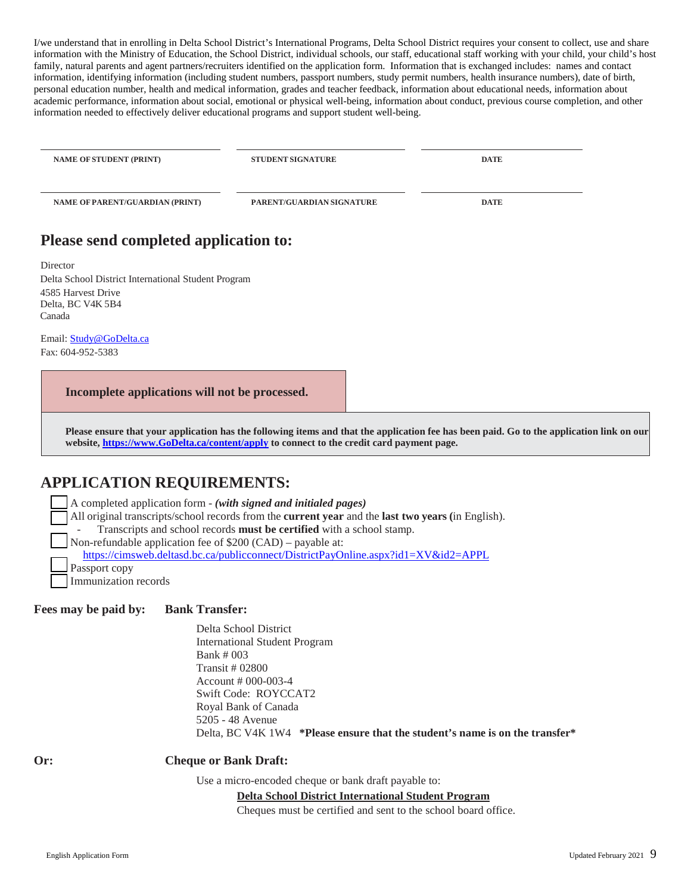I/we understand that in enrolling in Delta School District's International Programs, Delta School District requires your consent to collect, use and share information with the Ministry of Education, the School District, individual schools, our staff, educational staff working with your child, your child's host family, natural parents and agent partners/recruiters identified on the application form. Information that is exchanged includes: names and contact information, identifying information (including student numbers, passport numbers, study permit numbers, health insurance numbers), date of birth, personal education number, health and medical information, grades and teacher feedback, information about educational needs, information about academic performance, information about social, emotional or physical well-being, information about conduct, previous course completion, and other information needed to effectively deliver educational programs and support student well-being.

| <b>NAME OF STUDENT (PRINT)</b>         | <b>STUDENT SIGNATURE</b>  | <b>DATE</b> |
|----------------------------------------|---------------------------|-------------|
| <b>NAME OF PARENT/GUARDIAN (PRINT)</b> | PARENT/GUARDIAN SIGNATURE | <b>DATE</b> |
| ___<br>______<br>$\sim$                |                           |             |

### **Please send completed application to:**

Director Delta School District International Student Program 4585 Harvest Drive Delta, BC V4K 5B4 Canada

Email: [Study@GoDelta.ca](mailto:Study@GoDelta.ca) Fax: 604-952-5383

**Incomplete applications will not be processed.**

**Please ensure that your application has the following items and that the application fee has been paid. Go to the application link on our website, [https://www.GoDelta.ca/content/apply](https://www.godelta.ca/content/apply) to connect to the credit card payment page.**

## **APPLICATION REQUIREMENTS:**

| $\Box$ A completed application form - (with signed and initialed pages)                                          |  |
|------------------------------------------------------------------------------------------------------------------|--|
| All original transcripts/school records from the <b>current year</b> and the <b>last two years</b> (in English). |  |
| Transcripts and school records must be certified with a school stamp.                                            |  |
| Non-refundable application fee of $$200 (CAD)$ – payable at:                                                     |  |
| https://cimsweb.deltasd.bc.ca/publicconnect/DistrictPayOnline.aspx?id1=XV&id2=APPL                               |  |
| $\Box$ Passport copy                                                                                             |  |
| Immunization records                                                                                             |  |

**Fees may be paid by: Bank Transfer:**

Delta School District International Student Program Bank # 003 Transit # 02800 Account # 000-003-4 Swift Code: ROYCCAT2 Royal Bank of Canada 5205 - 48 Avenue Delta, BC V4K 1W4 **\*Please ensure that the student's name is on the transfer\*** 

#### **Or: Cheque or Bank Draft:**

Use a micro-encoded cheque or bank draft payable to:

#### **Delta School District International Student Program**

Cheques must be certified and sent to the school board office.